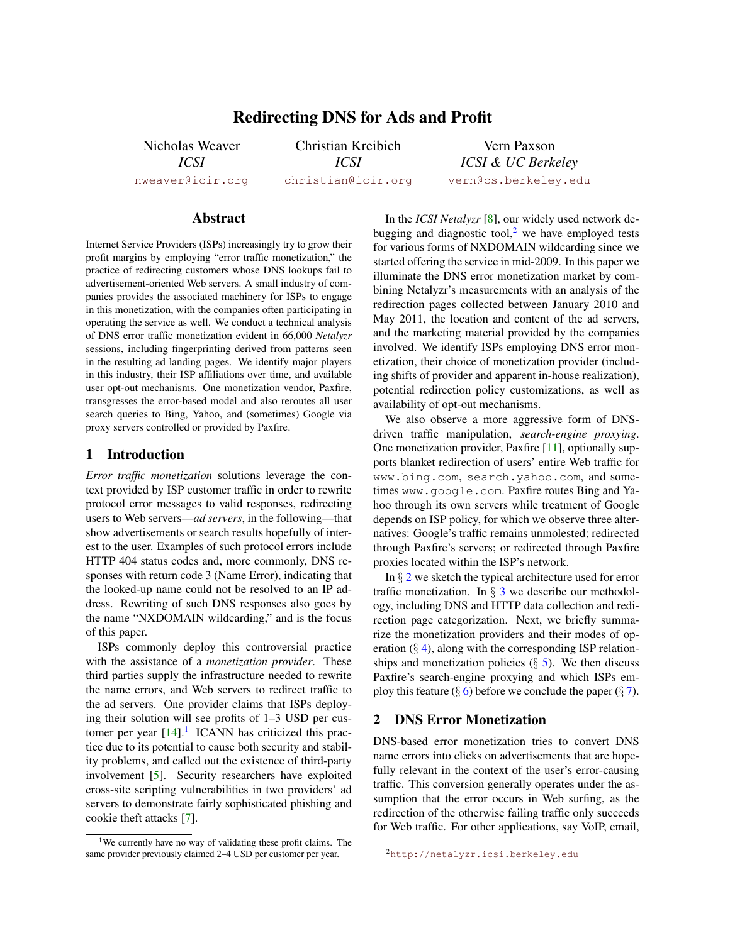# Redirecting DNS for Ads and Profit

Nicholas Weaver *ICSI* [nweaver@icir.org](mailto:nweaver@icir.org)

Christian Kreibich *ICSI* [christian@icir.org](mailto:christian@icir.org)

Vern Paxson *ICSI & UC Berkeley* [vern@cs.berkeley.edu](mailto:vern@cs.berkeley.edu)

## Abstract

Internet Service Providers (ISPs) increasingly try to grow their profit margins by employing "error traffic monetization," the practice of redirecting customers whose DNS lookups fail to advertisement-oriented Web servers. A small industry of companies provides the associated machinery for ISPs to engage in this monetization, with the companies often participating in operating the service as well. We conduct a technical analysis of DNS error traffic monetization evident in 66,000 *Netalyzr* sessions, including fingerprinting derived from patterns seen in the resulting ad landing pages. We identify major players in this industry, their ISP affiliations over time, and available user opt-out mechanisms. One monetization vendor, Paxfire, transgresses the error-based model and also reroutes all user search queries to Bing, Yahoo, and (sometimes) Google via proxy servers controlled or provided by Paxfire.

#### 1 Introduction

*Error traffic monetization* solutions leverage the context provided by ISP customer traffic in order to rewrite protocol error messages to valid responses, redirecting users to Web servers—*ad servers*, in the following—that show advertisements or search results hopefully of interest to the user. Examples of such protocol errors include HTTP 404 status codes and, more commonly, DNS responses with return code 3 (Name Error), indicating that the looked-up name could not be resolved to an IP address. Rewriting of such DNS responses also goes by the name "NXDOMAIN wildcarding," and is the focus of this paper.

ISPs commonly deploy this controversial practice with the assistance of a *monetization provider*. These third parties supply the infrastructure needed to rewrite the name errors, and Web servers to redirect traffic to the ad servers. One provider claims that ISPs deploying their solution will see profits of 1–3 USD per customer per year  $[14]$ .<sup>[1](#page-0-0)</sup> ICANN has criticized this practice due to its potential to cause both security and stability problems, and called out the existence of third-party involvement [\[5\]](#page-5-1). Security researchers have exploited cross-site scripting vulnerabilities in two providers' ad servers to demonstrate fairly sophisticated phishing and cookie theft attacks [\[7\]](#page-5-2).

In the *ICSI Netalyzr* [\[8\]](#page-5-3), our widely used network debugging and diagnostic tool, $2$  we have employed tests for various forms of NXDOMAIN wildcarding since we started offering the service in mid-2009. In this paper we illuminate the DNS error monetization market by combining Netalyzr's measurements with an analysis of the redirection pages collected between January 2010 and May 2011, the location and content of the ad servers, and the marketing material provided by the companies involved. We identify ISPs employing DNS error monetization, their choice of monetization provider (including shifts of provider and apparent in-house realization), potential redirection policy customizations, as well as availability of opt-out mechanisms.

We also observe a more aggressive form of DNSdriven traffic manipulation, *search-engine proxying*. One monetization provider, Paxfire [\[11\]](#page-5-4), optionally supports blanket redirection of users' entire Web traffic for www.bing.com, search.yahoo.com, and sometimes www.google.com. Paxfire routes Bing and Yahoo through its own servers while treatment of Google depends on ISP policy, for which we observe three alternatives: Google's traffic remains unmolested; redirected through Paxfire's servers; or redirected through Paxfire proxies located within the ISP's network.

In  $\S 2$  $\S 2$  we sketch the typical architecture used for error traffic monetization. In  $\S$  [3](#page-1-0) we describe our methodology, including DNS and HTTP data collection and redirection page categorization. Next, we briefly summarize the monetization providers and their modes of operation  $(\S 4)$  $(\S 4)$ , along with the corresponding ISP relationships and monetization policies  $(\S$  [5\)](#page-3-0). We then discuss Paxfire's search-engine proxying and which ISPs employ this feature  $(\S 6)$  $(\S 6)$  before we conclude the paper  $(\S 7)$  $(\S 7)$ .

### <span id="page-0-2"></span>2 DNS Error Monetization

DNS-based error monetization tries to convert DNS name errors into clicks on advertisements that are hopefully relevant in the context of the user's error-causing traffic. This conversion generally operates under the assumption that the error occurs in Web surfing, as the redirection of the otherwise failing traffic only succeeds for Web traffic. For other applications, say VoIP, email,

<span id="page-0-0"></span><sup>1</sup>We currently have no way of validating these profit claims. The same provider previously claimed 2–4 USD per customer per year.

<span id="page-0-1"></span><sup>2</sup><http://netalyzr.icsi.berkeley.edu>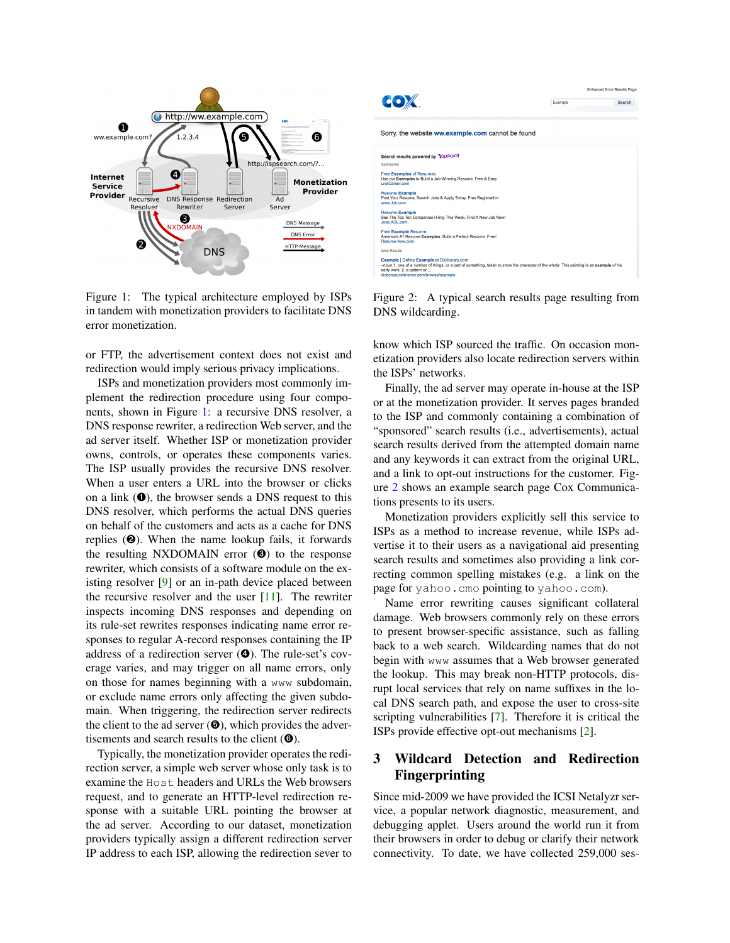

<span id="page-1-1"></span>Figure 1: The typical architecture employed by ISPs in tandem with monetization providers to facilitate DNS error monetization.

or FTP, the advertisement context does not exist and redirection would imply serious privacy implications.

ISPs and monetization providers most commonly implement the redirection procedure using four components, shown in Figure [1:](#page-1-1) a recursive DNS resolver, a DNS response rewriter, a redirection Web server, and the ad server itself. Whether ISP or monetization provider owns, controls, or operates these components varies. The ISP usually provides the recursive DNS resolver. When a user enters a URL into the browser or clicks on a link  $(①)$ , the browser sends a DNS request to this DNS resolver, which performs the actual DNS queries on behalf of the customers and acts as a cache for DNS replies  $(②)$ . When the name lookup fails, it forwards the resulting NXDOMAIN error  $(\mathbf{\Theta})$  to the response rewriter, which consists of a software module on the existing resolver [\[9\]](#page-5-6) or an in-path device placed between the recursive resolver and the user  $[11]$ . The rewriter inspects incoming DNS responses and depending on its rule-set rewrites responses indicating name error responses to regular A-record responses containing the IP address of a redirection server (➍). The rule-set's coverage varies, and may trigger on all name errors, only on those for names beginning with a www subdomain, or exclude name errors only affecting the given subdomain. When triggering, the redirection server redirects the client to the ad server  $(\mathbf{\Theta})$ , which provides the advertisements and search results to the client  $(\mathbf{\Theta})$ .

Typically, the monetization provider operates the redirection server, a simple web server whose only task is to examine the Host headers and URLs the Web browsers request, and to generate an HTTP-level redirection response with a suitable URL pointing the browser at the ad server. According to our dataset, monetization providers typically assign a different redirection server IP address to each ISP, allowing the redirection sever to



<span id="page-1-2"></span>Figure 2: A typical search results page resulting from DNS wildcarding.

know which ISP sourced the traffic. On occasion monetization providers also locate redirection servers within the ISPs' networks.

Finally, the ad server may operate in-house at the ISP or at the monetization provider. It serves pages branded to the ISP and commonly containing a combination of "sponsored" search results (i.e., advertisements), actual search results derived from the attempted domain name and any keywords it can extract from the original URL, and a link to opt-out instructions for the customer. Figure [2](#page-1-2) shows an example search page Cox Communications presents to its users.

Monetization providers explicitly sell this service to ISPs as a method to increase revenue, while ISPs advertise it to their users as a navigational aid presenting search results and sometimes also providing a link correcting common spelling mistakes (e.g. a link on the page for yahoo.cmo pointing to yahoo.com).

Name error rewriting causes significant collateral damage. Web browsers commonly rely on these errors to present browser-specific assistance, such as falling back to a web search. Wildcarding names that do not begin with www assumes that a Web browser generated the lookup. This may break non-HTTP protocols, disrupt local services that rely on name suffixes in the local DNS search path, and expose the user to cross-site scripting vulnerabilities [\[7\]](#page-5-2). Therefore it is critical the ISPs provide effective opt-out mechanisms [\[2\]](#page-5-7).

# <span id="page-1-0"></span>3 Wildcard Detection and Redirection Fingerprinting

Since mid-2009 we have provided the ICSI Netalyzr service, a popular network diagnostic, measurement, and debugging applet. Users around the world run it from their browsers in order to debug or clarify their network connectivity. To date, we have collected 259,000 ses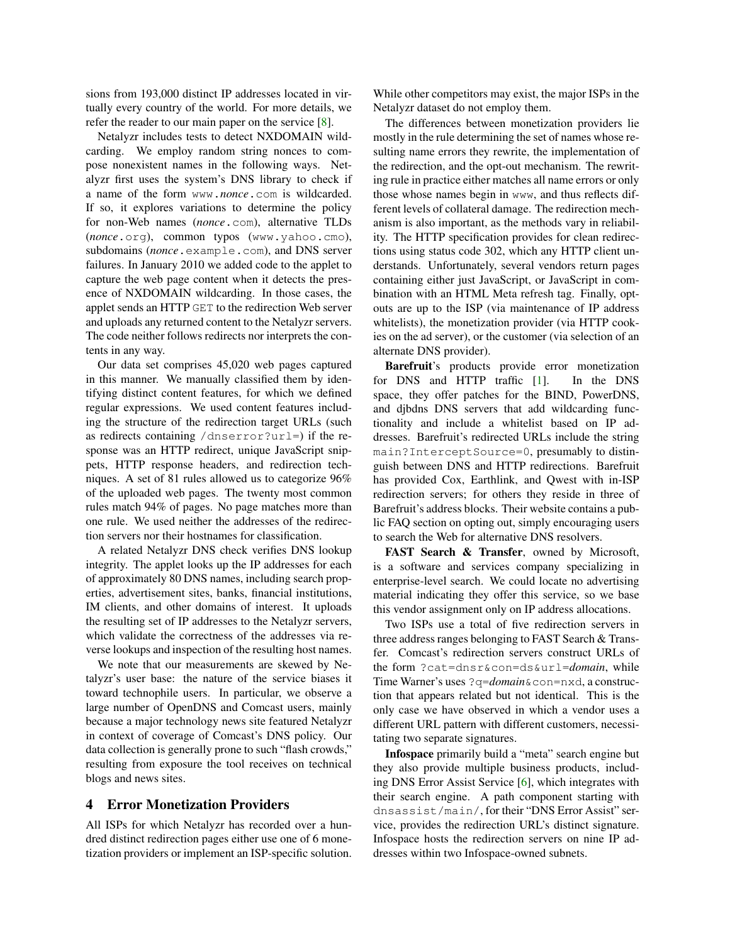sions from 193,000 distinct IP addresses located in virtually every country of the world. For more details, we refer the reader to our main paper on the service [\[8\]](#page-5-3).

Netalyzr includes tests to detect NXDOMAIN wildcarding. We employ random string nonces to compose nonexistent names in the following ways. Netalyzr first uses the system's DNS library to check if a name of the form www.*nonce*.com is wildcarded. If so, it explores variations to determine the policy for non-Web names (*nonce*.com), alternative TLDs (*nonce*.org), common typos (www.yahoo.cmo), subdomains (*nonce*.example.com), and DNS server failures. In January 2010 we added code to the applet to capture the web page content when it detects the presence of NXDOMAIN wildcarding. In those cases, the applet sends an HTTP GET to the redirection Web server and uploads any returned content to the Netalyzr servers. The code neither follows redirects nor interprets the contents in any way.

Our data set comprises 45,020 web pages captured in this manner. We manually classified them by identifying distinct content features, for which we defined regular expressions. We used content features including the structure of the redirection target URLs (such as redirects containing /dnserror?url=) if the response was an HTTP redirect, unique JavaScript snippets, HTTP response headers, and redirection techniques. A set of 81 rules allowed us to categorize 96% of the uploaded web pages. The twenty most common rules match 94% of pages. No page matches more than one rule. We used neither the addresses of the redirection servers nor their hostnames for classification.

A related Netalyzr DNS check verifies DNS lookup integrity. The applet looks up the IP addresses for each of approximately 80 DNS names, including search properties, advertisement sites, banks, financial institutions, IM clients, and other domains of interest. It uploads the resulting set of IP addresses to the Netalyzr servers, which validate the correctness of the addresses via reverse lookups and inspection of the resulting host names.

We note that our measurements are skewed by Netalyzr's user base: the nature of the service biases it toward technophile users. In particular, we observe a large number of OpenDNS and Comcast users, mainly because a major technology news site featured Netalyzr in context of coverage of Comcast's DNS policy. Our data collection is generally prone to such "flash crowds," resulting from exposure the tool receives on technical blogs and news sites.

### <span id="page-2-0"></span>4 Error Monetization Providers

All ISPs for which Netalyzr has recorded over a hundred distinct redirection pages either use one of 6 monetization providers or implement an ISP-specific solution. While other competitors may exist, the major ISPs in the Netalyzr dataset do not employ them.

The differences between monetization providers lie mostly in the rule determining the set of names whose resulting name errors they rewrite, the implementation of the redirection, and the opt-out mechanism. The rewriting rule in practice either matches all name errors or only those whose names begin in www, and thus reflects different levels of collateral damage. The redirection mechanism is also important, as the methods vary in reliability. The HTTP specification provides for clean redirections using status code 302, which any HTTP client understands. Unfortunately, several vendors return pages containing either just JavaScript, or JavaScript in combination with an HTML Meta refresh tag. Finally, optouts are up to the ISP (via maintenance of IP address whitelists), the monetization provider (via HTTP cookies on the ad server), or the customer (via selection of an alternate DNS provider).

Barefruit's products provide error monetization for DNS and HTTP traffic [\[1\]](#page-5-8). In the DNS space, they offer patches for the BIND, PowerDNS, and djbdns DNS servers that add wildcarding functionality and include a whitelist based on IP addresses. Barefruit's redirected URLs include the string main?InterceptSource=0, presumably to distinguish between DNS and HTTP redirections. Barefruit has provided Cox, Earthlink, and Qwest with in-ISP redirection servers; for others they reside in three of Barefruit's address blocks. Their website contains a public FAQ section on opting out, simply encouraging users to search the Web for alternative DNS resolvers.

FAST Search & Transfer, owned by Microsoft, is a software and services company specializing in enterprise-level search. We could locate no advertising material indicating they offer this service, so we base this vendor assignment only on IP address allocations.

Two ISPs use a total of five redirection servers in three address ranges belonging to FAST Search & Transfer. Comcast's redirection servers construct URLs of the form ?cat=dnsr&con=ds&url=*domain*, while Time Warner's uses ?q=*domain*&con=nxd, a construction that appears related but not identical. This is the only case we have observed in which a vendor uses a different URL pattern with different customers, necessitating two separate signatures.

Infospace primarily build a "meta" search engine but they also provide multiple business products, including DNS Error Assist Service [\[6\]](#page-5-9), which integrates with their search engine. A path component starting with dnsassist/main/, for their "DNS Error Assist" service, provides the redirection URL's distinct signature. Infospace hosts the redirection servers on nine IP addresses within two Infospace-owned subnets.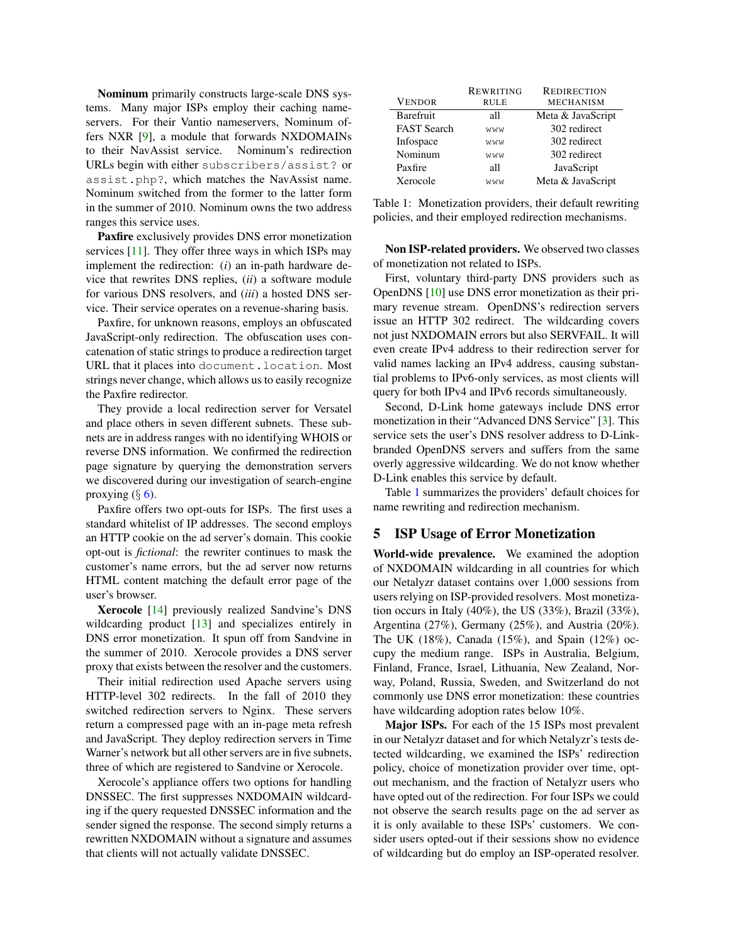Nominum primarily constructs large-scale DNS systems. Many major ISPs employ their caching nameservers. For their Vantio nameservers, Nominum offers NXR [\[9\]](#page-5-6), a module that forwards NXDOMAINs to their NavAssist service. Nominum's redirection URLs begin with either subscribers/assist? or assist.php?, which matches the NavAssist name. Nominum switched from the former to the latter form in the summer of 2010. Nominum owns the two address ranges this service uses.

Paxfire exclusively provides DNS error monetization services [\[11\]](#page-5-4). They offer three ways in which ISPs may implement the redirection: (*i*) an in-path hardware device that rewrites DNS replies, (*ii*) a software module for various DNS resolvers, and (*iii*) a hosted DNS service. Their service operates on a revenue-sharing basis.

Paxfire, for unknown reasons, employs an obfuscated JavaScript-only redirection. The obfuscation uses concatenation of static strings to produce a redirection target URL that it places into document.location. Most strings never change, which allows us to easily recognize the Paxfire redirector.

They provide a local redirection server for Versatel and place others in seven different subnets. These subnets are in address ranges with no identifying WHOIS or reverse DNS information. We confirmed the redirection page signature by querying the demonstration servers we discovered during our investigation of search-engine proxying  $(\S 6)$  $(\S 6)$ .

Paxfire offers two opt-outs for ISPs. The first uses a standard whitelist of IP addresses. The second employs an HTTP cookie on the ad server's domain. This cookie opt-out is *fictional*: the rewriter continues to mask the customer's name errors, but the ad server now returns HTML content matching the default error page of the user's browser.

Xerocole [\[14\]](#page-5-0) previously realized Sandvine's DNS wildcarding product [\[13\]](#page-5-10) and specializes entirely in DNS error monetization. It spun off from Sandvine in the summer of 2010. Xerocole provides a DNS server proxy that exists between the resolver and the customers.

Their initial redirection used Apache servers using HTTP-level 302 redirects. In the fall of 2010 they switched redirection servers to Nginx. These servers return a compressed page with an in-page meta refresh and JavaScript. They deploy redirection servers in Time Warner's network but all other servers are in five subnets, three of which are registered to Sandvine or Xerocole.

Xerocole's appliance offers two options for handling DNSSEC. The first suppresses NXDOMAIN wildcarding if the query requested DNSSEC information and the sender signed the response. The second simply returns a rewritten NXDOMAIN without a signature and assumes that clients will not actually validate DNSSEC.

|                    | <b>REWRITING</b> | <b>REDIRECTION</b> |  |
|--------------------|------------------|--------------------|--|
| <b>VENDOR</b>      | <b>RULE</b>      | <b>MECHANISM</b>   |  |
| Barefruit          | all              | Meta & JavaScript  |  |
| <b>FAST</b> Search | WWW              | 302 redirect       |  |
| Infospace          | WWW              | 302 redirect       |  |
| Nominum            | WWW              | 302 redirect       |  |
| Paxfire            | all              | JavaScript         |  |
| Xerocole           | WWW              | Meta & JavaScript  |  |

<span id="page-3-1"></span>Table 1: Monetization providers, their default rewriting policies, and their employed redirection mechanisms.

Non ISP-related providers. We observed two classes of monetization not related to ISPs.

First, voluntary third-party DNS providers such as OpenDNS [\[10\]](#page-5-11) use DNS error monetization as their primary revenue stream. OpenDNS's redirection servers issue an HTTP 302 redirect. The wildcarding covers not just NXDOMAIN errors but also SERVFAIL. It will even create IPv4 address to their redirection server for valid names lacking an IPv4 address, causing substantial problems to IPv6-only services, as most clients will query for both IPv4 and IPv6 records simultaneously.

Second, D-Link home gateways include DNS error monetization in their "Advanced DNS Service" [\[3\]](#page-5-12). This service sets the user's DNS resolver address to D-Linkbranded OpenDNS servers and suffers from the same overly aggressive wildcarding. We do not know whether D-Link enables this service by default.

Table [1](#page-3-1) summarizes the providers' default choices for name rewriting and redirection mechanism.

#### <span id="page-3-0"></span>5 ISP Usage of Error Monetization

World-wide prevalence. We examined the adoption of NXDOMAIN wildcarding in all countries for which our Netalyzr dataset contains over 1,000 sessions from users relying on ISP-provided resolvers. Most monetization occurs in Italy  $(40\%)$ , the US  $(33\%)$ , Brazil  $(33\%)$ , Argentina (27%), Germany (25%), and Austria (20%). The UK (18%), Canada (15%), and Spain (12%) occupy the medium range. ISPs in Australia, Belgium, Finland, France, Israel, Lithuania, New Zealand, Norway, Poland, Russia, Sweden, and Switzerland do not commonly use DNS error monetization: these countries have wildcarding adoption rates below 10%.

Major ISPs. For each of the 15 ISPs most prevalent in our Netalyzr dataset and for which Netalyzr's tests detected wildcarding, we examined the ISPs' redirection policy, choice of monetization provider over time, optout mechanism, and the fraction of Netalyzr users who have opted out of the redirection. For four ISPs we could not observe the search results page on the ad server as it is only available to these ISPs' customers. We consider users opted-out if their sessions show no evidence of wildcarding but do employ an ISP-operated resolver.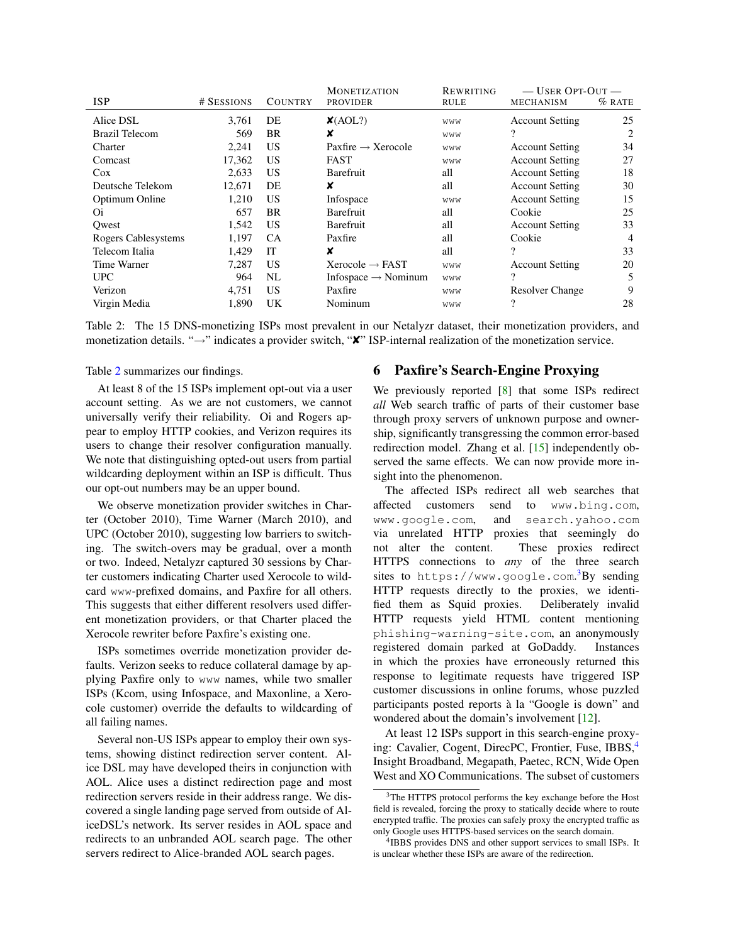|                       |            |                | <b>MONETIZATION</b>             | REWRITING   | $-$ USER OPT-OUT $-$   |                |
|-----------------------|------------|----------------|---------------------------------|-------------|------------------------|----------------|
| <b>ISP</b>            | # SESSIONS | <b>COUNTRY</b> | <b>PROVIDER</b>                 | <b>RULE</b> | <b>MECHANISM</b>       | $%$ RATE       |
| Alice DSL             | 3.761      | DE             | $\mathsf{X}(\text{AOL}?)$       | WWW         | <b>Account Setting</b> | 25             |
| <b>Brazil Telecom</b> | 569        | <b>BR</b>      | ×                               | WWW         | ?                      |                |
| Charter               | 2,241      | US             | Paxfire $\rightarrow$ Xerocole  | WWW         | <b>Account Setting</b> | 34             |
| Comcast               | 17,362     | <b>US</b>      | <b>FAST</b>                     | WWW         | <b>Account Setting</b> | 27             |
| $\cos$                | 2,633      | US             | Barefruit                       | all         | <b>Account Setting</b> | 18             |
| Deutsche Telekom      | 12.671     | DE             | x                               | all         | <b>Account Setting</b> | 30             |
| Optimum Online        | 1,210      | US             | Infospace                       | WWW         | <b>Account Setting</b> | 15             |
| Oi.                   | 657        | <b>BR</b>      | Barefruit                       | all         | Cookie                 | 25             |
| Owest                 | 1,542      | <b>US</b>      | <b>Barefruit</b>                | all         | <b>Account Setting</b> | 33             |
| Rogers Cablesystems   | 1,197      | <b>CA</b>      | Paxfire                         | all         | Cookie                 | $\overline{4}$ |
| Telecom Italia        | 1.429      | IТ             | x                               | all         | $\gamma$               | 33             |
| Time Warner           | 7,287      | US             | Xerocole $\rightarrow$ FAST     | WWW         | <b>Account Setting</b> | 20             |
| <b>UPC</b>            | 964        | NL             | Infospace $\rightarrow$ Nominum | WWW         | ?                      |                |
| Verizon               | 4,751      | US             | Paxfire                         | WWW         | <b>Resolver Change</b> | 9              |
| Virgin Media          | 1,890      | UK             | Nominum                         | WWW         | ?                      | 28             |

<span id="page-4-1"></span>Table 2: The 15 DNS-monetizing ISPs most prevalent in our Netalyzr dataset, their monetization providers, and monetization details. "→" indicates a provider switch, "✘" ISP-internal realization of the monetization service.

Table [2](#page-4-1) summarizes our findings.

At least 8 of the 15 ISPs implement opt-out via a user account setting. As we are not customers, we cannot universally verify their reliability. Oi and Rogers appear to employ HTTP cookies, and Verizon requires its users to change their resolver configuration manually. We note that distinguishing opted-out users from partial wildcarding deployment within an ISP is difficult. Thus our opt-out numbers may be an upper bound.

We observe monetization provider switches in Charter (October 2010), Time Warner (March 2010), and UPC (October 2010), suggesting low barriers to switching. The switch-overs may be gradual, over a month or two. Indeed, Netalyzr captured 30 sessions by Charter customers indicating Charter used Xerocole to wildcard www-prefixed domains, and Paxfire for all others. This suggests that either different resolvers used different monetization providers, or that Charter placed the Xerocole rewriter before Paxfire's existing one.

ISPs sometimes override monetization provider defaults. Verizon seeks to reduce collateral damage by applying Paxfire only to www names, while two smaller ISPs (Kcom, using Infospace, and Maxonline, a Xerocole customer) override the defaults to wildcarding of all failing names.

Several non-US ISPs appear to employ their own systems, showing distinct redirection server content. Alice DSL may have developed theirs in conjunction with AOL. Alice uses a distinct redirection page and most redirection servers reside in their address range. We discovered a single landing page served from outside of AliceDSL's network. Its server resides in AOL space and redirects to an unbranded AOL search page. The other servers redirect to Alice-branded AOL search pages.

#### <span id="page-4-0"></span>6 Paxfire's Search-Engine Proxying

We previously reported [\[8\]](#page-5-3) that some ISPs redirect *all* Web search traffic of parts of their customer base through proxy servers of unknown purpose and ownership, significantly transgressing the common error-based redirection model. Zhang et al. [\[15\]](#page-5-13) independently observed the same effects. We can now provide more insight into the phenomenon.

The affected ISPs redirect all web searches that affected customers send to www.bing.com, www.google.com, and search.yahoo.com via unrelated HTTP proxies that seemingly do not alter the content. These proxies redirect HTTPS connections to *any* of the three search sites to https://www.google.com. [3](#page-4-2)By sending HTTP requests directly to the proxies, we identified them as Squid proxies. Deliberately invalid HTTP requests yield HTML content mentioning phishing-warning-site.com, an anonymously registered domain parked at GoDaddy. Instances in which the proxies have erroneously returned this response to legitimate requests have triggered ISP customer discussions in online forums, whose puzzled participants posted reports à la "Google is down" and wondered about the domain's involvement [\[12\]](#page-5-14).

At least 12 ISPs support in this search-engine proxy-ing: Cavalier, Cogent, DirecPC, Frontier, Fuse, IBBS,<sup>[4](#page-4-3)</sup> Insight Broadband, Megapath, Paetec, RCN, Wide Open West and XO Communications. The subset of customers

<span id="page-4-2"></span><sup>3</sup>The HTTPS protocol performs the key exchange before the Host field is revealed, forcing the proxy to statically decide where to route encrypted traffic. The proxies can safely proxy the encrypted traffic as only Google uses HTTPS-based services on the search domain.

<span id="page-4-3"></span><sup>&</sup>lt;sup>4</sup>IBBS provides DNS and other support services to small ISPs. It is unclear whether these ISPs are aware of the redirection.